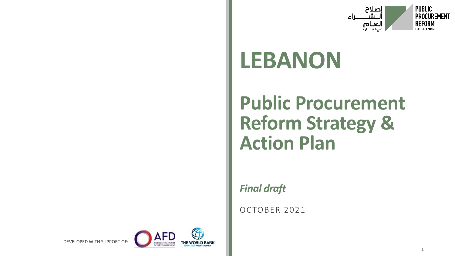

## **LEBANON**

#### **Public Procurement Reform Strategy & Action Plan**

*Final draft*

OCTOBER 2021



DEVELOPED WITH SUPPORT OF: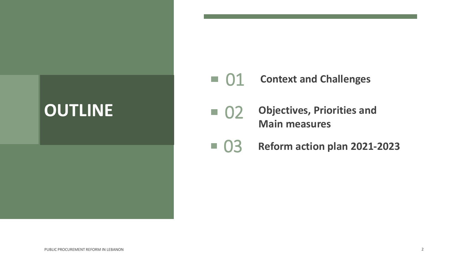#### **OUTLINE** 1 02

#### ■ 01 **Context and Challenges**

- **Objectives, Priorities and Main measures**
- $\blacksquare$  03 **Reform action plan 2021-2023**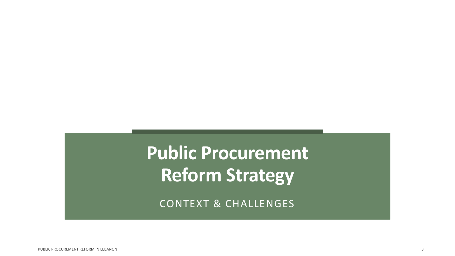#### **Public Procurement Reform Strategy**

CONTEXT & CHALLENGES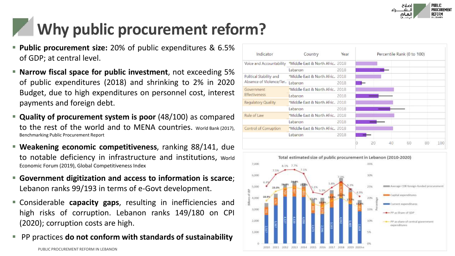

#### **Why public procurement reform?**

- **Public procurement size: 20% of public expenditures & 6.5%** of GDP ; at central level .
- **E** Narrow fiscal space for public investment, not exceeding 5% of public expenditures (2018 ) and shrinking to 2 % in 2020 Budget, due to high expenditures on personnel cost, interest payments and foreign debt .
- **Quality of procurement system is poor** (48 /100 ) as compared to the rest of the world and to MENA countries. World Bank (2017), Benchmarking Public Procurement Report
- **Weakening economic competitiveness** , ranking 88 /141 , due to notable deficiency in infrastructure and institutions, World Economic Forum (2019), Global Competitiveness Index
- **Government digitization and access to information is scarce** ; Lebanon ranks 99/193 in terms of e-Govt development.
- **EX Considerable capacity gaps**, resulting in inefficiencies and high risks of corruption . Lebanon ranks 149 /180 on CPI (2020 ) ; corruption costs are high .
- PP practices **do not conform with standards of sustainability**

| Indicator                                                   | Country                           | Year | Percentile Rank (0 to 100) |    |    |    |    |     |
|-------------------------------------------------------------|-----------------------------------|------|----------------------------|----|----|----|----|-----|
| Voice and Accountability                                    | *Middle East & North Afric., 2018 |      |                            |    |    |    |    |     |
|                                                             | Lebanon                           | 2018 |                            |    |    |    |    |     |
| Political Stability and<br>Absence of Violence/Ter. Lebanon | *Middle East & North Afric., 2018 |      |                            |    |    |    |    |     |
|                                                             |                                   | 2018 |                            |    |    |    |    |     |
| Government<br><b>Effectiveness</b>                          | *Middle East & North Afric., 2018 |      |                            |    |    |    |    |     |
|                                                             | Lebanon                           | 2018 |                            |    |    |    |    |     |
| <b>Regulatory Quality</b>                                   | *Middle East & North Afric., 2018 |      |                            |    |    |    |    |     |
|                                                             | Lebanon                           | 2018 |                            |    |    |    |    |     |
| Rule of Law                                                 | *Middle East & North Afric., 2018 |      |                            |    |    |    |    |     |
|                                                             | Lebanon                           | 2018 |                            |    |    |    |    |     |
| Control of Corruption                                       | *Middle East & North Afric., 2018 |      |                            |    |    |    |    |     |
|                                                             | Lebanon                           | 2018 |                            |    |    |    |    |     |
|                                                             |                                   |      | n                          | 20 | 40 | 60 | 80 | 100 |

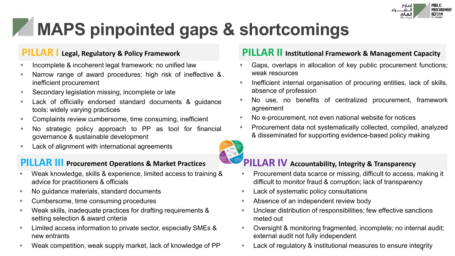![](_page_4_Picture_0.jpeg)

### **MAPS pinpointed gaps & shortcomings**

#### **PILLAR I Legal, Regulatory & Policy Framework**

- Incomplete & incoherent legal framework: no unified law
- Narrow range of award procedures: high risk of ineffective & inefficient procurement
- Secondary legislation missing, incomplete or late
- Lack of officially endorsed standard documents & guidance tools: widely varying practices
- Complaints review cumbersome, time consuming, inefficient
- No strategic policy approach to PP as tool for financial governance & sustainable development
- Lack of alignment with international agreements

#### **PILLAR III Procurement Operations & Market Practices**

- Weak knowledge, skills & experience, limited access to training & advice for practitioners & officials
- No quidance materials, standard documents
- Cumbersome, time consuming procedures
- Weak skills, inadequate practices for drafting requirements & setting selection & award criteria
- Limited access information to private sector, especially SMEs & new entrants
- Weak competition, weak supply market, lack of knowledge of PP

#### **PILLAR II Institutional Framework & Management Capacity**

- Gaps, overlaps in allocation of key public procurement functions; weak resources
- **EXEDEN** Internal organisation of procuring entities, lack of skills, absence of profession
- No use, no benefits of centralized procurement, framework agreement
- No e-procurement, not even national website for notices
- Procurement data not systematically collected, compiled, analyzed & disseminated for supporting evidence-based policy making

![](_page_4_Picture_23.jpeg)

#### **PILLAR IV Accountability, Integrity & Transparency**

- Procurement data scarce or missing, difficult to access, making it difficult to monitor fraud & corruption; lack of transparency
- Lack of systematic policy consultations
- Absence of an independent review body
- Unclear distribution of responsibilities; few effective sanctions meted out
- Oversight & monitoring fragmented, incomplete; no internal audit; external audit not fully independent
- $\quad$  Lack of regulatory & institutional measures to ensure integrity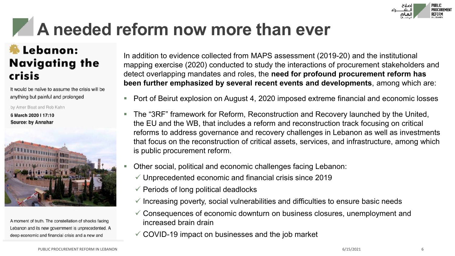![](_page_5_Picture_0.jpeg)

### **A needed reform now more than ever**

#### Lebanon: **Navigating the** crisis

It would be naïve to assume the crisis will be anything but painful and prolonged

by Amer Bisat and Rob Kahn

6 March 2020 | 17:10 **Source: by Annahar** 

![](_page_5_Picture_6.jpeg)

A moment of truth. The constellation of shocks facing Lebanon and its new government is unprecedented. A deep economic and financial crisis and a new and

In addition to evidence collected from MAPS assessment (2019-20) and the institutional mapping exercise (2020) conducted to study the interactions of procurement stakeholders and detect overlapping mandates and roles, the **need for profound procurement reform has been further emphasized by several recent events and developments**, among which are:

- Port of Beirut explosion on August 4, 2020 imposed extreme financial and economic losses
- The "3RF" framework for Reform, Reconstruction and Recovery launched by the United, the EU and the WB, that includes a reform and reconstruction track focusing on critical reforms to address governance and recovery challenges in Lebanon as well as investments that focus on the reconstruction of critical assets, services, and infrastructure, among which is public procurement reform.
- Other social, political and economic challenges facing Lebanon:
	- $\checkmark$  Unprecedented economic and financial crisis since 2019
	- $\checkmark$  Periods of long political deadlocks
	- $\checkmark$  Increasing poverty, social vulnerabilities and difficulties to ensure basic needs
	- $\checkmark$  Consequences of economic downturn on business closures, unemployment and increased brain drain
	- $\checkmark$  COVID-19 impact on businesses and the job market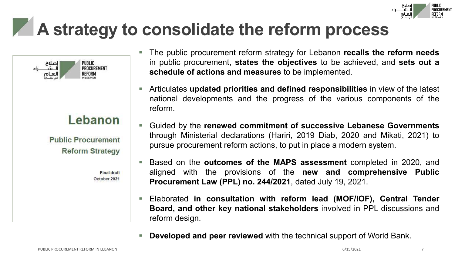![](_page_6_Picture_0.jpeg)

### **A strategy to consolidate the reform process**

![](_page_6_Figure_2.jpeg)

#### Lebanon

**Public Procurement Reform Strategy** 

> **Final draft** October 2021

- The public procurement reform strategy for Lebanon **recalls the reform needs** in public procurement, **states the objectives** to be achieved, and **sets out a schedule of actions and measures** to be implemented.
- Articulates **updated priorities and defined responsibilities** in view of the latest national developments and the progress of the various components of the reform.
- Guided by the **renewed commitment of successive Lebanese Governments** through Ministerial declarations (Hariri, 2019 Diab, 2020 and Mikati, 2021) to pursue procurement reform actions, to put in place a modern system.
- Based on the **outcomes of the MAPS assessment** completed in 2020, and aligned with the provisions of the **new and comprehensive Public Procurement Law (PPL) no. 244/2021**, dated July 19, 2021.
- Elaborated **in consultation with reform lead (MOF/IOF), Central Tender Board, and other key national stakeholders** involved in PPL discussions and reform design.
- **Developed and peer reviewed** with the technical support of World Bank.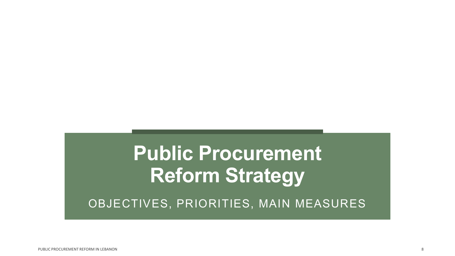### **Public Procurement Reform Strategy**

OBJECTIVES, PRIORITIES, MAIN MEASURES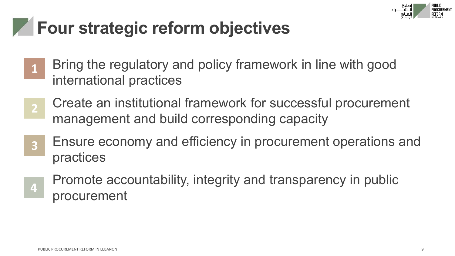![](_page_8_Picture_0.jpeg)

### **Four strategic reform objectives**

- Bring the regulatory and policy framework in line with good international practices **1**
- Create an institutional framework for successful procurement management and build corresponding capacity **2**
- Ensure economy and efficiency in procurement operations and practices **3**
- Promote accountability, integrity and transparency in public procurement **4**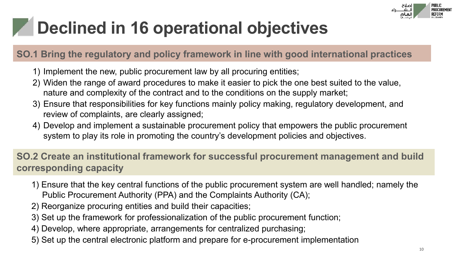![](_page_9_Picture_0.jpeg)

### **Declined in 16 operational objectives**

#### **SO.1 Bring the regulatory and policy framework in line with good international practices**

- 1) Implement the new, public procurement law by all procuring entities;
- 2) Widen the range of award procedures to make it easier to pick the one best suited to the value, nature and complexity of the contract and to the conditions on the supply market;
- 3) Ensure that responsibilities for key functions mainly policy making, regulatory development, and review of complaints, are clearly assigned;
- 4) Develop and implement a sustainable procurement policy that empowers the public procurement system to play its role in promoting the country's development policies and objectives.

**SO.2 Create an institutional framework for successful procurement management and build corresponding capacity**

- 1) Ensure that the key central functions of the public procurement system are well handled; namely the Public Procurement Authority (PPA) and the Complaints Authority (CA);
- 2) Reorganize procuring entities and build their capacities;
- 3) Set up the framework for professionalization of the public procurement function;
- 4) Develop, where appropriate, arrangements for centralized purchasing;
- 5) Set up the central electronic platform and prepare for e-procurement implementation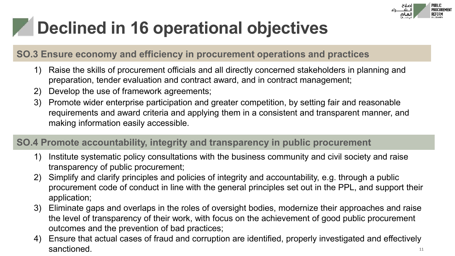![](_page_10_Picture_0.jpeg)

### **Declined in 16 operational objectives**

#### **SO.3 Ensure economy and efficiency in procurement operations and practices**

- 1) Raise the skills of procurement officials and all directly concerned stakeholders in planning and preparation, tender evaluation and contract award, and in contract management;
- 2) Develop the use of framework agreements;
- 3) Promote wider enterprise participation and greater competition, by setting fair and reasonable requirements and award criteria and applying them in a consistent and transparent manner, and making information easily accessible.

#### **SO.4 Promote accountability, integrity and transparency in public procurement**

- 1) Institute systematic policy consultations with the business community and civil society and raise transparency of public procurement;
- 2) Simplify and clarify principles and policies of integrity and accountability, e.g. through a public procurement code of conduct in line with the general principles set out in the PPL, and support their application;
- 3) Eliminate gaps and overlaps in the roles of oversight bodies, modernize their approaches and raise the level of transparency of their work, with focus on the achievement of good public procurement outcomes and the prevention of bad practices;
- 4) Ensure that actual cases of fraud and corruption are identified, properly investigated and effectively sanctioned.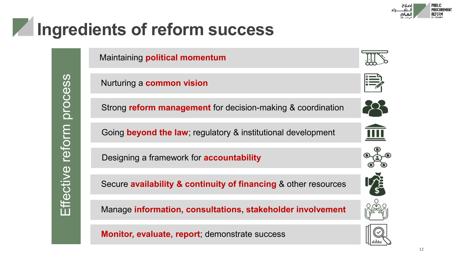#### **Ingredients of reform success**

Maintaining **political momentum**

Nurturing a **common vision**

Strong **reform management** for decision-making & coordination

Going **beyond the law**; regulatory & institutional development

Designing a framework for **accountability**

Secure **availability & continuity of financing** & other resources

Manage **information, consultations, stakeholder involvement**

**Monitor, evaluate, report**; demonstrate success

![](_page_11_Picture_12.jpeg)

![](_page_11_Picture_13.jpeg)

![](_page_11_Picture_14.jpeg)

![](_page_11_Picture_15.jpeg)

![](_page_11_Picture_16.jpeg)

![](_page_11_Picture_17.jpeg)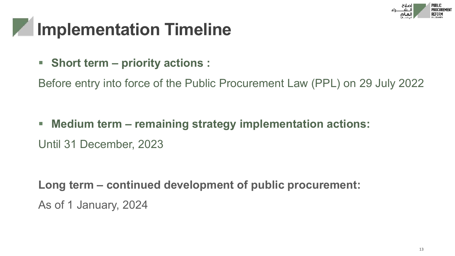![](_page_12_Picture_0.jpeg)

### **Implementation Timeline**

■ **Short term** – **priority actions** :

Before entry into force of the Public Procurement Law (PPL) on 29 July 2022

▪ **Medium term – remaining strategy implementation actions:**

Until 31 December, 2023

**Long term – continued development of public procurement:** As of 1 January, 2024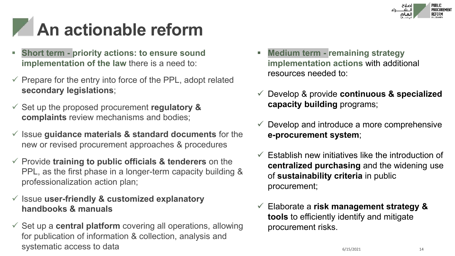![](_page_13_Picture_0.jpeg)

### **An actionable reform**

- **Short term priority actions: to ensure sound implementation of the law** there is a need to:
- $\checkmark$  Prepare for the entry into force of the PPL, adopt related **secondary legislations**;
- ✓ Set up the proposed procurement **regulatory & complaints** review mechanisms and bodies;
- ✓ Issue **guidance materials & standard documents** for the new or revised procurement approaches & procedures
- ✓ Provide **training to public officials & tenderers** on the PPL, as the first phase in a longer-term capacity building & professionalization action plan;
- ✓ Issue **user-friendly & customized explanatory handbooks & manuals**
- ✓ Set up a **central platform** covering all operations, allowing for publication of information & collection, analysis and  $\frac{1}{6/15/2021}$  systematic access to data  $\frac{1}{14}$
- **Medium term remaining strategy implementation actions** with additional resources needed to:
- ✓ Develop & provide **continuous & specialized capacity building** programs;
- $\checkmark$  Develop and introduce a more comprehensive **e-procurement system**;
- $\checkmark$  Establish new initiatives like the introduction of **centralized purchasing** and the widening use of **sustainability criteria** in public procurement;
- ✓ Elaborate a **risk management strategy & tools** to efficiently identify and mitigate procurement risks.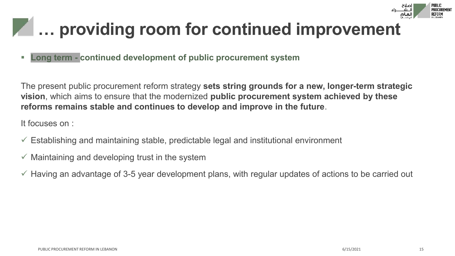![](_page_14_Picture_0.jpeg)

#### **7 1... providing room for continued improvement**

▪ **Long term - continued development of public procurement system**

The present public procurement reform strategy **sets string grounds for a new, longer-term strategic vision**, which aims to ensure that the modernized **public procurement system achieved by these reforms remains stable and continues to develop and improve in the future**.

It focuses on :

- $\checkmark$  Establishing and maintaining stable, predictable legal and institutional environment
- $\checkmark$  Maintaining and developing trust in the system
- $\checkmark$  Having an advantage of 3-5 year development plans, with regular updates of actions to be carried out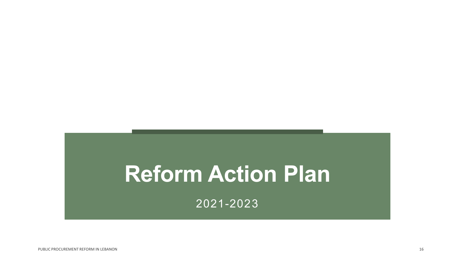## **Reform Action Plan**

2021-2023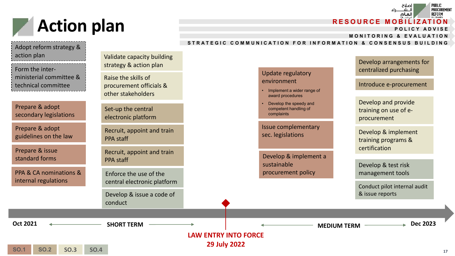![](_page_16_Picture_0.jpeg)

#### STRATEGIC COMMUNICATION FOR INFORMATION & CONSENSUS BUILDING **M O N I T O R I N G & E V A L U A T I O N**

![](_page_16_Figure_2.jpeg)

**P O L I C Y A D V I S E**

اصلاح

ا شآ

العاه

**PUBLIC** 

REFORM

PROCUREMENT

**R E S O U R C E M O B I L I Z AT I O N**